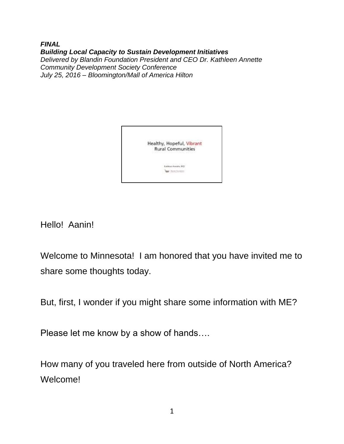*FINAL Building Local Capacity to Sustain Development Initiatives Delivered by Blandin Foundation President and CEO Dr. Kathleen Annette Community Development Society Conference July 25, 2016 – Bloomington/Mall of America Hilton*



Hello! Aanin!

Welcome to Minnesota! I am honored that you have invited me to share some thoughts today.

But, first, I wonder if you might share some information with ME?

Please let me know by a show of hands….

How many of you traveled here from outside of North America? Welcome!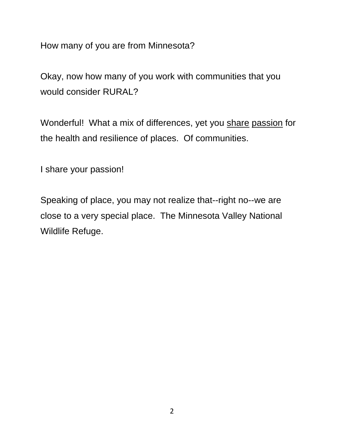How many of you are from Minnesota?

Okay, now how many of you work with communities that you would consider RURAL?

Wonderful! What a mix of differences, yet you share passion for the health and resilience of places. Of communities.

I share your passion!

Speaking of place, you may not realize that--right no--we are close to a very special place. The Minnesota Valley National Wildlife Refuge.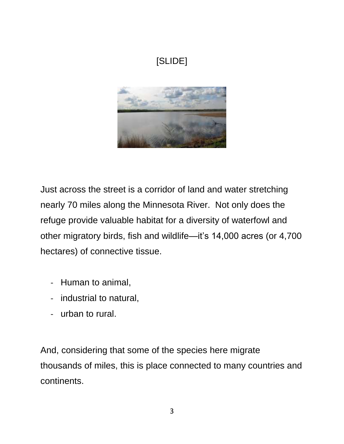

Just across the street is a corridor of land and water stretching nearly 70 miles along the Minnesota River. Not only does the refuge provide valuable habitat for a diversity of waterfowl and other migratory birds, fish and wildlife—it's 14,000 acres (or 4,700 hectares) of connective tissue.

- Human to animal,
- industrial to natural,
- urban to rural.

And, considering that some of the species here migrate thousands of miles, this is place connected to many countries and continents.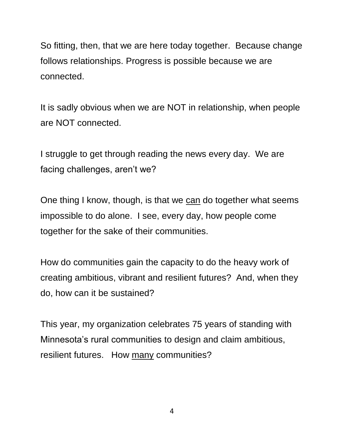So fitting, then, that we are here today together. Because change follows relationships. Progress is possible because we are connected.

It is sadly obvious when we are NOT in relationship, when people are NOT connected.

I struggle to get through reading the news every day. We are facing challenges, aren't we?

One thing I know, though, is that we can do together what seems impossible to do alone. I see, every day, how people come together for the sake of their communities.

How do communities gain the capacity to do the heavy work of creating ambitious, vibrant and resilient futures? And, when they do, how can it be sustained?

This year, my organization celebrates 75 years of standing with Minnesota's rural communities to design and claim ambitious, resilient futures. How many communities?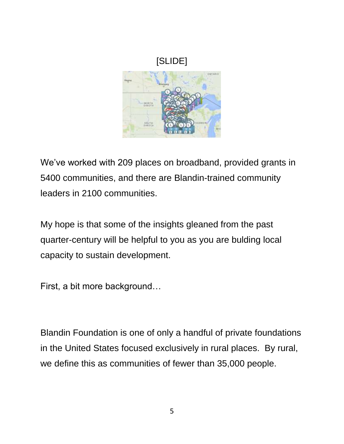

We've worked with 209 places on broadband, provided grants in 5400 communities, and there are Blandin-trained community leaders in 2100 communities.

My hope is that some of the insights gleaned from the past quarter-century will be helpful to you as you are bulding local capacity to sustain development.

First, a bit more background…

Blandin Foundation is one of only a handful of private foundations in the United States focused exclusively in rural places. By rural, we define this as communities of fewer than 35,000 people.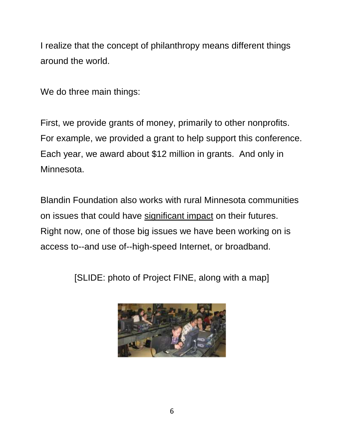I realize that the concept of philanthropy means different things around the world.

We do three main things:

First, we provide grants of money, primarily to other nonprofits. For example, we provided a grant to help support this conference. Each year, we award about \$12 million in grants. And only in Minnesota.

Blandin Foundation also works with rural Minnesota communities on issues that could have significant impact on their futures. Right now, one of those big issues we have been working on is access to--and use of--high-speed Internet, or broadband.

[SLIDE: photo of Project FINE, along with a map]

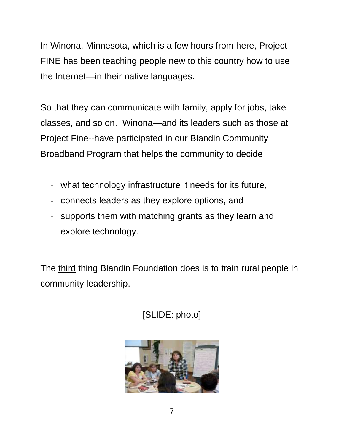In Winona, Minnesota, which is a few hours from here, Project FINE has been teaching people new to this country how to use the Internet—in their native languages.

So that they can communicate with family, apply for jobs, take classes, and so on. Winona—and its leaders such as those at Project Fine--have participated in our Blandin Community Broadband Program that helps the community to decide

- what technology infrastructure it needs for its future,
- connects leaders as they explore options, and
- supports them with matching grants as they learn and explore technology.

The third thing Blandin Foundation does is to train rural people in community leadership.

[SLIDE: photo]

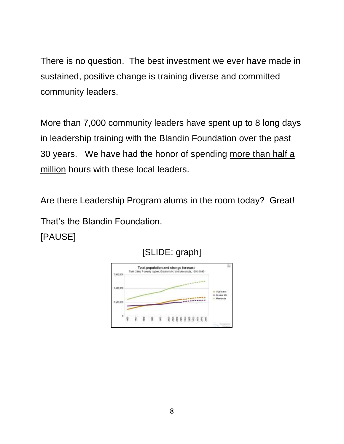There is no question. The best investment we ever have made in sustained, positive change is training diverse and committed community leaders.

More than 7,000 community leaders have spent up to 8 long days in leadership training with the Blandin Foundation over the past 30 years. We have had the honor of spending more than half a million hours with these local leaders.

Are there Leadership Program alums in the room today? Great! That's the Blandin Foundation. [PAUSE]



[SLIDE: graph]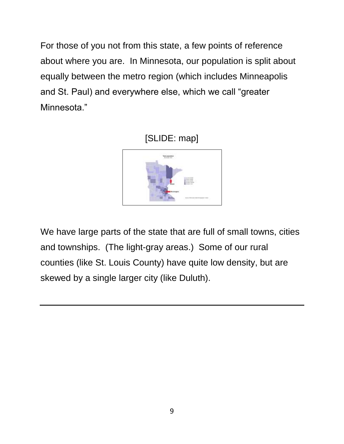For those of you not from this state, a few points of reference about where you are. In Minnesota, our population is split about equally between the metro region (which includes Minneapolis and St. Paul) and everywhere else, which we call "greater Minnesota."





We have large parts of the state that are full of small towns, cities and townships. (The light-gray areas.) Some of our rural counties (like St. Louis County) have quite low density, but are skewed by a single larger city (like Duluth).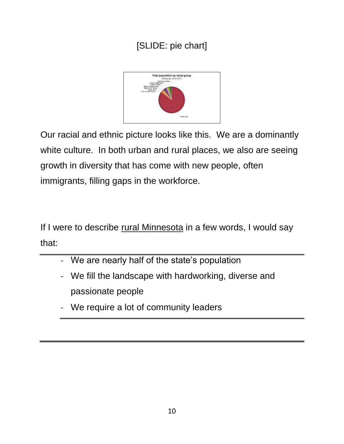### [SLIDE: pie chart]



Our racial and ethnic picture looks like this. We are a dominantly white culture. In both urban and rural places, we also are seeing growth in diversity that has come with new people, often immigrants, filling gaps in the workforce.

If I were to describe rural Minnesota in a few words, I would say that:

- We are nearly half of the state's population
- We fill the landscape with hardworking, diverse and passionate people
- We require a lot of community leaders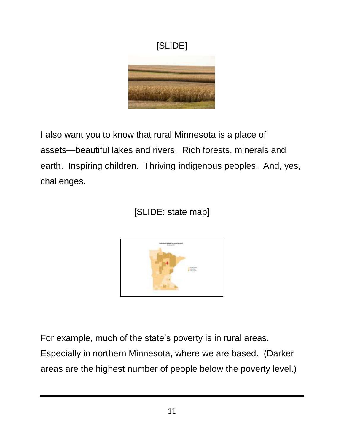

I also want you to know that rural Minnesota is a place of assets—beautiful lakes and rivers, Rich forests, minerals and earth. Inspiring children. Thriving indigenous peoples. And, yes, challenges.

[SLIDE: state map]



For example, much of the state's poverty is in rural areas.

Especially in northern Minnesota, where we are based. (Darker areas are the highest number of people below the poverty level.)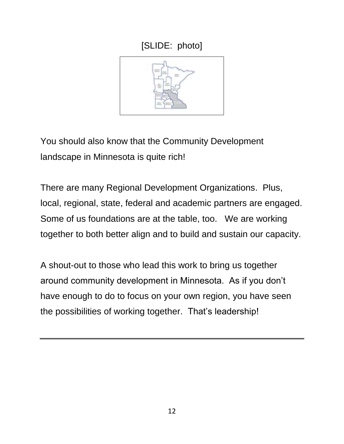



You should also know that the Community Development landscape in Minnesota is quite rich!

There are many Regional Development Organizations. Plus, local, regional, state, federal and academic partners are engaged. Some of us foundations are at the table, too. We are working together to both better align and to build and sustain our capacity.

A shout-out to those who lead this work to bring us together around community development in Minnesota. As if you don't have enough to do to focus on your own region, you have seen the possibilities of working together. That's leadership!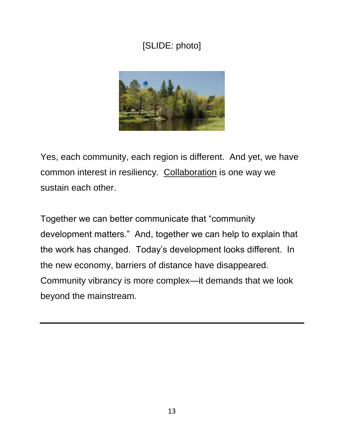### [SLIDE: photo]



Yes, each community, each region is different. And yet, we have common interest in resiliency. Collaboration is one way we sustain each other.

Together we can better communicate that "community development matters." And, together we can help to explain that the work has changed. Today's development looks different. In the new economy, barriers of distance have disappeared. Community vibrancy is more complex—it demands that we look beyond the mainstream.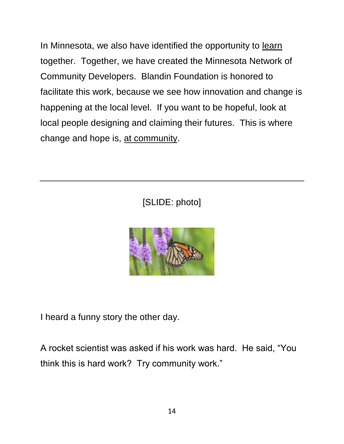In Minnesota, we also have identified the opportunity to learn together. Together, we have created the Minnesota Network of Community Developers. Blandin Foundation is honored to facilitate this work, because we see how innovation and change is happening at the local level. If you want to be hopeful, look at local people designing and claiming their futures. This is where change and hope is, at community.

[SLIDE: photo]



I heard a funny story the other day.

A rocket scientist was asked if his work was hard. He said, "You think this is hard work? Try community work."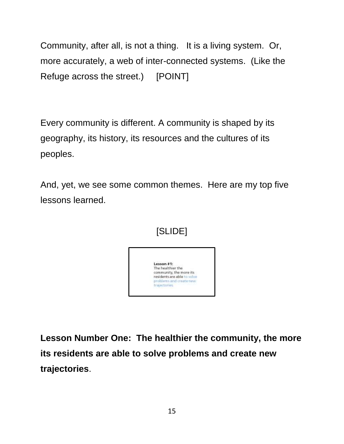Community, after all, is not a thing. It is a living system. Or, more accurately, a web of inter-connected systems. (Like the Refuge across the street.) [POINT]

Every community is different. A community is shaped by its geography, its history, its resources and the cultures of its peoples.

And, yet, we see some common themes. Here are my top five lessons learned.



**Lesson Number One: The healthier the community, the more its residents are able to solve problems and create new trajectories**.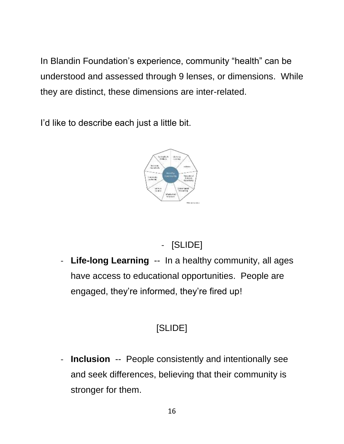In Blandin Foundation's experience, community "health" can be understood and assessed through 9 lenses, or dimensions. While they are distinct, these dimensions are inter-related.

I'd like to describe each just a little bit.



# - [SLIDE]

- **Life-long Learning** -- In a healthy community, all ages have access to educational opportunities. People are engaged, they're informed, they're fired up!

## [SLIDE]

- **Inclusion** -- People consistently and intentionally see and seek differences, believing that their community is stronger for them.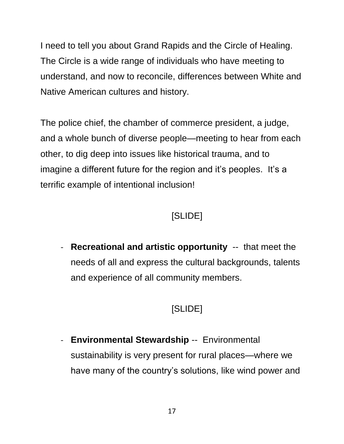I need to tell you about Grand Rapids and the Circle of Healing. The Circle is a wide range of individuals who have meeting to understand, and now to reconcile, differences between White and Native American cultures and history.

The police chief, the chamber of commerce president, a judge, and a whole bunch of diverse people—meeting to hear from each other, to dig deep into issues like historical trauma, and to imagine a different future for the region and it's peoples. It's a terrific example of intentional inclusion!

### [SLIDE]

- **Recreational and artistic opportunity** -- that meet the needs of all and express the cultural backgrounds, talents and experience of all community members.

## [SLIDE]

- **Environmental Stewardship** -- Environmental sustainability is very present for rural places—where we have many of the country's solutions, like wind power and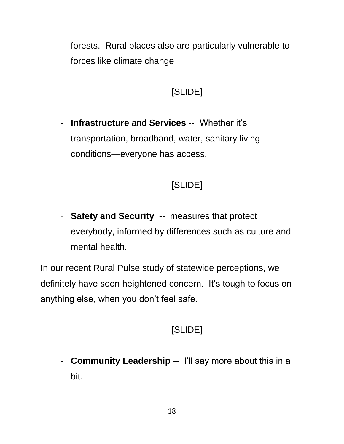forests. Rural places also are particularly vulnerable to forces like climate change

### [SLIDE]

- **Infrastructure** and **Services** -- Whether it's transportation, broadband, water, sanitary living conditions—everyone has access.

#### [SLIDE]

- **Safety and Security** -- measures that protect everybody, informed by differences such as culture and mental health.

In our recent Rural Pulse study of statewide perceptions, we definitely have seen heightened concern. It's tough to focus on anything else, when you don't feel safe.

#### [SLIDE]

- **Community Leadership** -- I'll say more about this in a bit.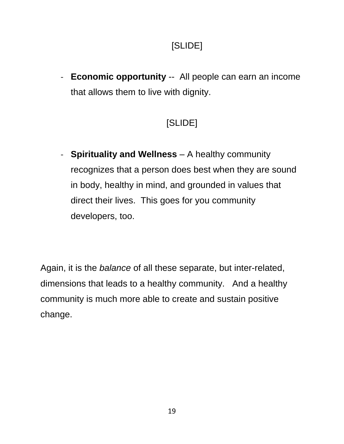- **Economic opportunity** -- All people can earn an income that allows them to live with dignity.

## [SLIDE]

- **Spirituality and Wellness** – A healthy community recognizes that a person does best when they are sound in body, healthy in mind, and grounded in values that direct their lives. This goes for you community developers, too.

Again, it is the *balance* of all these separate, but inter-related, dimensions that leads to a healthy community. And a healthy community is much more able to create and sustain positive change.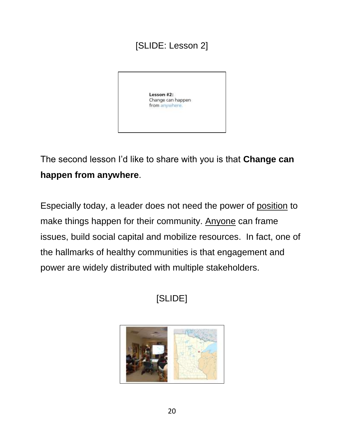#### [SLIDE: Lesson 2]



The second lesson I'd like to share with you is that **Change can happen from anywhere**.

Especially today, a leader does not need the power of position to make things happen for their community. Anyone can frame issues, build social capital and mobilize resources. In fact, one of the hallmarks of healthy communities is that engagement and power are widely distributed with multiple stakeholders.

# [SLIDE]

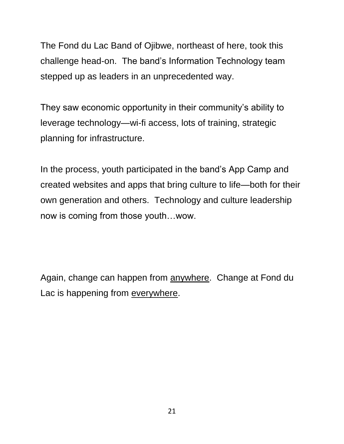The Fond du Lac Band of Ojibwe, northeast of here, took this challenge head-on. The band's Information Technology team stepped up as leaders in an unprecedented way.

They saw economic opportunity in their community's ability to leverage technology—wi-fi access, lots of training, strategic planning for infrastructure.

In the process, youth participated in the band's App Camp and created websites and apps that bring culture to life—both for their own generation and others. Technology and culture leadership now is coming from those youth…wow.

Again, change can happen from anywhere. Change at Fond du Lac is happening from everywhere.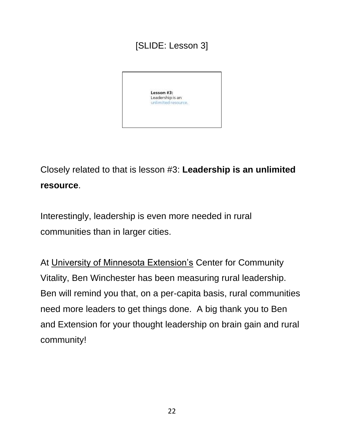### [SLIDE: Lesson 3]



Closely related to that is lesson #3: **Leadership is an unlimited resource**.

Interestingly, leadership is even more needed in rural communities than in larger cities.

At University of Minnesota Extension's Center for Community Vitality, Ben Winchester has been measuring rural leadership. Ben will remind you that, on a per-capita basis, rural communities need more leaders to get things done. A big thank you to Ben and Extension for your thought leadership on brain gain and rural community!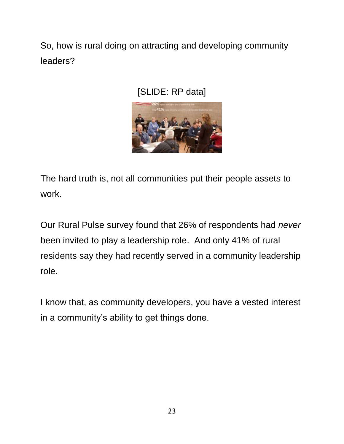So, how is rural doing on attracting and developing community leaders?

[SLIDE: RP data]



The hard truth is, not all communities put their people assets to work.

Our Rural Pulse survey found that 26% of respondents had *never* been invited to play a leadership role. And only 41% of rural residents say they had recently served in a community leadership role.

I know that, as community developers, you have a vested interest in a community's ability to get things done.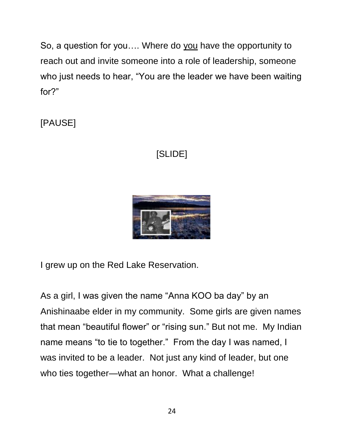So, a question for you…. Where do you have the opportunity to reach out and invite someone into a role of leadership, someone who just needs to hear, "You are the leader we have been waiting for?"

[PAUSE]

### [SLIDE]



I grew up on the Red Lake Reservation.

As a girl, I was given the name "Anna KOO ba day" by an Anishinaabe elder in my community. Some girls are given names that mean "beautiful flower" or "rising sun." But not me. My Indian name means "to tie to together." From the day I was named, I was invited to be a leader. Not just any kind of leader, but one who ties together—what an honor. What a challenge!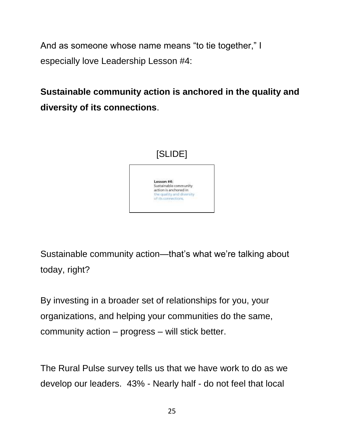And as someone whose name means "to tie together," I especially love Leadership Lesson #4:

**Sustainable community action is anchored in the quality and diversity of its connections**.



Sustainable community action—that's what we're talking about today, right?

By investing in a broader set of relationships for you, your organizations, and helping your communities do the same, community action – progress – will stick better.

The Rural Pulse survey tells us that we have work to do as we develop our leaders. 43% - Nearly half - do not feel that local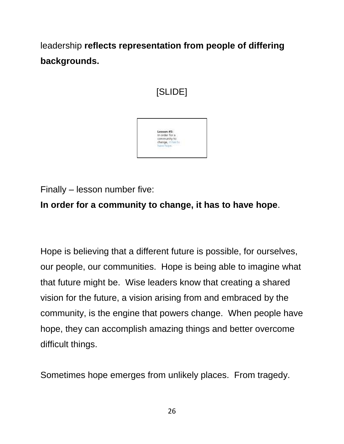leadership **reflects representation from people of differing backgrounds.**



Finally – lesson number five:

**In order for a community to change, it has to have hope**.

Hope is believing that a different future is possible, for ourselves, our people, our communities. Hope is being able to imagine what that future might be. Wise leaders know that creating a shared vision for the future, a vision arising from and embraced by the community, is the engine that powers change. When people have hope, they can accomplish amazing things and better overcome difficult things.

Sometimes hope emerges from unlikely places. From tragedy.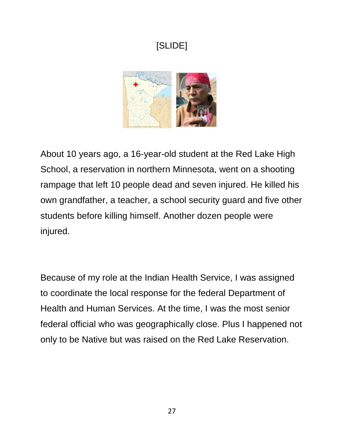

About 10 years ago, a 16-year-old student at the Red Lake High School, a reservation in northern Minnesota, went on a shooting rampage that left 10 people dead and seven injured. He killed his own grandfather, a teacher, a school security guard and five other students before killing himself. Another dozen people were injured.

Because of my role at the Indian Health Service, I was assigned to coordinate the local response for the federal Department of Health and Human Services. At the time, I was the most senior federal official who was geographically close. Plus I happened not only to be Native but was raised on the Red Lake Reservation.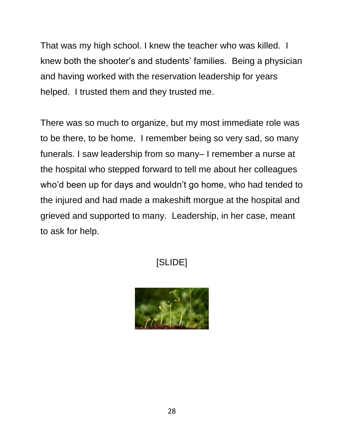That was my high school. I knew the teacher who was killed. I knew both the shooter's and students' families. Being a physician and having worked with the reservation leadership for years helped. I trusted them and they trusted me.

There was so much to organize, but my most immediate role was to be there, to be home. I remember being so very sad, so many funerals. I saw leadership from so many– I remember a nurse at the hospital who stepped forward to tell me about her colleagues who'd been up for days and wouldn't go home, who had tended to the injured and had made a makeshift morgue at the hospital and grieved and supported to many. Leadership, in her case, meant to ask for help.

## [SLIDE]

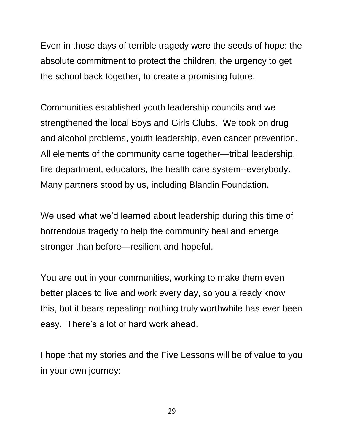Even in those days of terrible tragedy were the seeds of hope: the absolute commitment to protect the children, the urgency to get the school back together, to create a promising future.

Communities established youth leadership councils and we strengthened the local Boys and Girls Clubs. We took on drug and alcohol problems, youth leadership, even cancer prevention. All elements of the community came together—tribal leadership, fire department, educators, the health care system--everybody. Many partners stood by us, including Blandin Foundation.

We used what we'd learned about leadership during this time of horrendous tragedy to help the community heal and emerge stronger than before—resilient and hopeful.

You are out in your communities, working to make them even better places to live and work every day, so you already know this, but it bears repeating: nothing truly worthwhile has ever been easy. There's a lot of hard work ahead.

I hope that my stories and the Five Lessons will be of value to you in your own journey:

29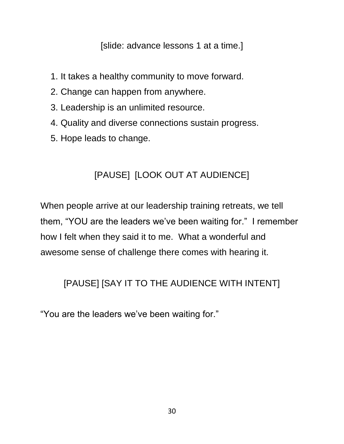[slide: advance lessons 1 at a time.]

- 1. It takes a healthy community to move forward.
- 2. Change can happen from anywhere.
- 3. Leadership is an unlimited resource.
- 4. Quality and diverse connections sustain progress.
- 5. Hope leads to change.

#### [PAUSE] [LOOK OUT AT AUDIENCE]

When people arrive at our leadership training retreats, we tell them, "YOU are the leaders we've been waiting for." I remember how I felt when they said it to me. What a wonderful and awesome sense of challenge there comes with hearing it.

#### [PAUSE] [SAY IT TO THE AUDIENCE WITH INTENT]

"You are the leaders we've been waiting for."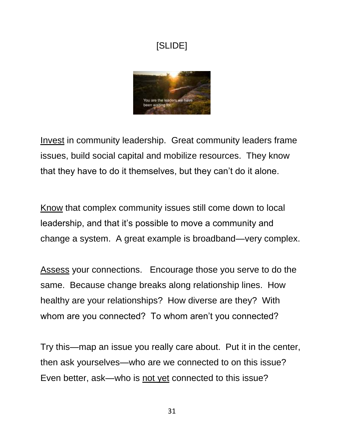

Invest in community leadership. Great community leaders frame issues, build social capital and mobilize resources. They know that they have to do it themselves, but they can't do it alone.

Know that complex community issues still come down to local leadership, and that it's possible to move a community and change a system. A great example is broadband—very complex.

Assess your connections. Encourage those you serve to do the same. Because change breaks along relationship lines. How healthy are your relationships? How diverse are they? With whom are you connected? To whom aren't you connected?

Try this—map an issue you really care about. Put it in the center, then ask yourselves—who are we connected to on this issue? Even better, ask—who is not yet connected to this issue?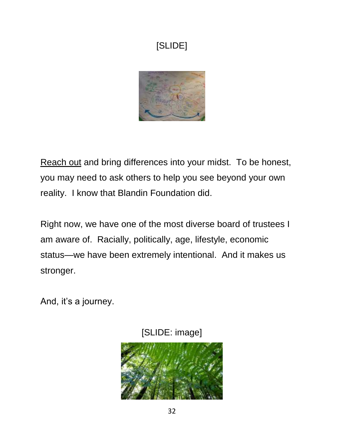

Reach out and bring differences into your midst. To be honest, you may need to ask others to help you see beyond your own reality. I know that Blandin Foundation did.

Right now, we have one of the most diverse board of trustees I am aware of. Racially, politically, age, lifestyle, economic status—we have been extremely intentional. And it makes us stronger.

And, it's a journey.



[SLIDE: image]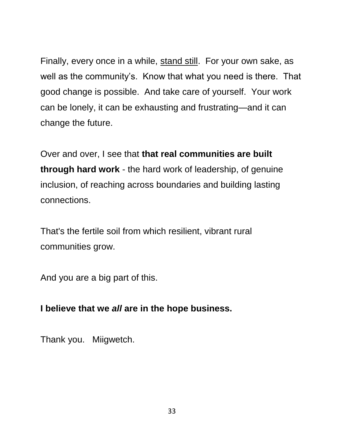Finally, every once in a while, stand still. For your own sake, as well as the community's. Know that what you need is there. That good change is possible. And take care of yourself. Your work can be lonely, it can be exhausting and frustrating—and it can change the future.

Over and over, I see that **that real communities are built through hard work** - the hard work of leadership, of genuine inclusion, of reaching across boundaries and building lasting connections.

That's the fertile soil from which resilient, vibrant rural communities grow.

And you are a big part of this.

#### **I believe that we** *all* **are in the hope business.**

Thank you. Miigwetch.